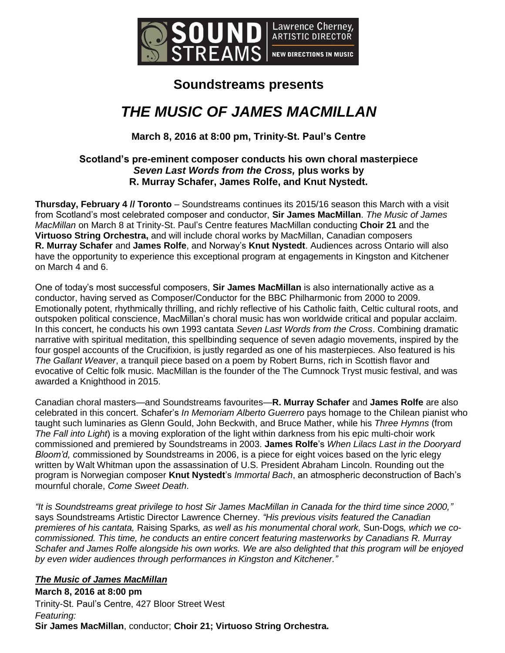

# **Soundstreams presents**

# *THE MUSIC OF JAMES MACMILLAN*

**March 8, 2016 at 8:00 pm, Trinity-St. Paul's Centre**

# **Scotland's pre-eminent composer conducts his own choral masterpiece**  *Seven Last Words from the Cross,* **plus works by R. Murray Schafer, James Rolfe, and Knut Nystedt.**

**Thursday, February 4 // Toronto** – Soundstreams continues its 2015/16 season this March with a visit from Scotland's most celebrated composer and conductor, **Sir James MacMillan**. *The Music of James MacMillan* on March 8 at Trinity-St. Paul's Centre features MacMillan conducting **Choir 21** and the **Virtuoso String Orchestra,** and will include choral works by MacMillan, Canadian composers **R. Murray Schafer** and **James Rolfe**, and Norway's **Knut Nystedt**. Audiences across Ontario will also have the opportunity to experience this exceptional program at engagements in Kingston and Kitchener on March 4 and 6.

One of today's most successful composers, **Sir James MacMillan** is also internationally active as a conductor, having served as Composer/Conductor for the BBC Philharmonic from 2000 to 2009. Emotionally potent, rhythmically thrilling, and richly reflective of his Catholic faith, Celtic cultural roots, and outspoken political conscience, MacMillan's choral music has won worldwide critical and popular acclaim. In this concert, he conducts his own 1993 cantata *Seven Last Words from the Cross*. Combining dramatic narrative with spiritual meditation, this spellbinding sequence of seven adagio movements, inspired by the four gospel accounts of the Crucifixion, is justly regarded as one of his masterpieces. Also featured is his *The Gallant Weaver*, a tranquil piece based on a poem by Robert Burns, rich in Scottish flavor and evocative of Celtic folk music. MacMillan is the founder of the The Cumnock Tryst music festival, and was awarded a Knighthood in 2015.

Canadian choral masters—and Soundstreams favourites—**R. Murray Schafer** and **James Rolfe** are also celebrated in this concert. Schafer's *In Memoriam Alberto Guerrero* pays homage to the Chilean pianist who taught such luminaries as Glenn Gould, John Beckwith, and Bruce Mather, while his *Three Hymns* (from *The Fall into Light*) is a moving exploration of the light within darkness from his epic multi-choir work commissioned and premiered by Soundstreams in 2003. **James Rolfe**'s *When Lilacs Last in the Dooryard Bloom'd, c*ommissioned by Soundstreams in 2006, is a piece for eight voices based on the lyric elegy written by Walt Whitman upon the assassination of U.S. President Abraham Lincoln. Rounding out the program is Norwegian composer **Knut Nystedt**'s *Immortal Bach*, an atmospheric deconstruction of Bach's mournful chorale, *Come Sweet Death*.

*"It is Soundstreams great privilege to host Sir James MacMillan in Canada for the third time since 2000,"* says Soundstreams Artistic Director Lawrence Cherney. *"His previous visits featured the Canadian premieres of his cantata,* Raising Sparks*, as well as his monumental choral work,* Sun-Dogs*, which we cocommissioned. This time, he conducts an entire concert featuring masterworks by Canadians R. Murray Schafer and James Rolfe alongside his own works. We are also delighted that this program will be enjoyed by even wider audiences through performances in Kingston and Kitchener."*

# *The Music of James MacMillan*

**March 8, 2016 at 8:00 pm** Trinity-St. Paul's Centre, 427 Bloor Street West *Featuring:* **Sir James MacMillan**, conductor; **Choir 21; Virtuoso String Orchestra.**